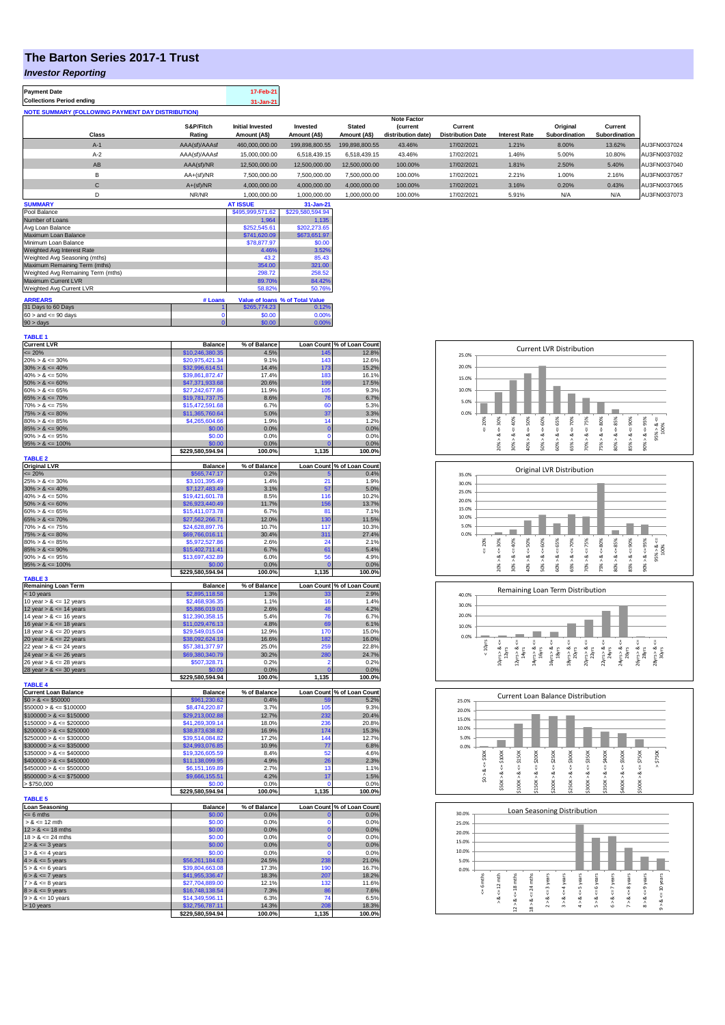# **The Barton Series 2017-1 Trust**

#### *Investor Reporting*

| <b>Payment Date</b>                                      |                     | 17-Feb-21                               |                          |                               |                                      |                                     |                      |                           |                          |              |
|----------------------------------------------------------|---------------------|-----------------------------------------|--------------------------|-------------------------------|--------------------------------------|-------------------------------------|----------------------|---------------------------|--------------------------|--------------|
| <b>Collections Period ending</b>                         |                     | $31 - Jan-21$                           |                          |                               |                                      |                                     |                      |                           |                          |              |
| <b>NOTE SUMMARY (FOLLOWING PAYMENT DAY DISTRIBUTION)</b> |                     |                                         |                          |                               |                                      |                                     |                      |                           |                          |              |
|                                                          |                     |                                         |                          |                               | <b>Note Factor</b>                   |                                     |                      |                           |                          |              |
| Class                                                    | S&P/Fitch<br>Rating | <b>Initial Invested</b><br>Amount (A\$) | Invested<br>Amount (A\$) | <b>Stated</b><br>Amount (A\$) | <b>Current</b><br>distribution date) | Current<br><b>Distribution Date</b> | <b>Interest Rate</b> | Original<br>Subordination | Current<br>Subordination |              |
| $A-1$                                                    | AAA(sf)/AAAsf       | 460.000.000.00                          | 199.898.800.55           | 199.898.800.55                | 43.46%                               | 17/02/2021                          | 1.21%                | 8.00%                     | 13.62%                   | AU3FN0037024 |
| $A-2$                                                    | AAA(sf)/AAAsf       | 15,000,000,00                           | 6.518.439.15             | 6.518.439.15                  | 43.46%                               | 17/02/2021                          | 1.46%                | 5.00%                     | 10.80%                   | AU3FN0037032 |
| AB                                                       | AAA(sf)/NR          | 12,500,000,00                           | 12,500,000,00            | 12.500.000.00                 | 100.00%                              | 17/02/2021                          | 1.81%                | 2.50%                     | 5.40%                    | AU3FN0037040 |
| B                                                        | $AA+(sf)/NR$        | 7.500.000.00                            | 7,500,000.00             | 7.500.000.00                  | 100.00%                              | 17/02/2021                          | 2.21%                | 1.00%                     | 2.16%                    | AU3FN0037057 |
| С                                                        | $A+(sf)/NR$         | 4.000.000.00                            | 4.000.000.00             | 4.000.000.00                  | 100.00%                              | 17/02/2021                          | 3.16%                | 0.20%                     | 0.43%                    | AU3FN0037065 |
| D                                                        | NR/NR               | 1,000,000.00                            | 1,000,000.00             | 1,000,000.00                  | 100.00%                              | 17/02/2021                          | 5.91%                | N/A                       | N/A                      | AU3FN0037073 |
| <b>SUMMARY</b>                                           |                     | <b>AT ISSUE</b>                         | 31-Jan-21                |                               |                                      |                                     |                      |                           |                          |              |

| Pool Balance                       |         | \$495.999.571.62 | \$229.580.594.94                |
|------------------------------------|---------|------------------|---------------------------------|
| Number of Loans                    |         | 1.964            | 1.135                           |
| Avg Loan Balance                   |         | \$252,545.61     | \$202.273.65                    |
| Maximum Loan Balance               |         | \$741,620.09     | \$673,651.97                    |
| Minimum Loan Balance               |         | \$78,877.97      | \$0.00                          |
| Weighted Avg Interest Rate         |         | 4.46%            | 3.52%                           |
| Weighted Avg Seasoning (mths)      |         | 43.2             | 85.43                           |
| Maximum Remaining Term (mths)      |         | 354.00           | 321.00                          |
| Weighted Avg Remaining Term (mths) |         | 298.72           | 258.52                          |
| Maximum Current LVR                |         | 89.70%           | 84.42%                          |
| Weighted Avg Current LVR           |         | 58.82%           | 50.76%                          |
| <b>ARREARS</b>                     | # Loans |                  | Value of Ioans % of Total Value |
| 31 Days to 60 Days                 |         | \$265,774.23     | 0.12%                           |
| $60 >$ and $\leq 90$ days          |         | \$0.00           | 0.00%                           |
| $90 >$ days                        | 0       | \$0.00           | 0.00%                           |

| <b>TABLE 1</b>              |                          |              |                   |                            |
|-----------------------------|--------------------------|--------------|-------------------|----------------------------|
| <b>Current LVR</b>          | <b>Balance</b>           | % of Balance |                   | Loan Count % of Loan Count |
| $= 20%$                     | \$10,246,380.35          | 4.5%         | 145               | 12.8%                      |
| $20\% > 8 \le 30\%$         | \$20,975,421.34          | 9.1%         | 143               | 12.6%                      |
| $30\% > 8 \le 40\%$         | \$32,996,614.51          | 14.4%        | 173               | 15.2%                      |
| $40\% > 8 \le 50\%$         | \$39,861,872.47          | 17.4%        | 183               | 16.1%                      |
| $50\% > 8 \le 60\%$         | \$47,371,933.68          | 20.6%        | 199               | 17.5%                      |
| $60\% > 8 \le 65\%$         | \$27,242,677.86          | 11.9%        | 105               | 9.3%                       |
| $65\% > 8 \le 70\%$         | \$19,781,737.75          | 8.6%         | 76                | 6.7%                       |
| $70\% > 8 \le 75\%$         | \$15,472,591.68          | 6.7%         | 60                | 5.3%                       |
| $75\% > 8 \le 80\%$         | \$11,365,760.64          | 5.0%         | 37                | 3.3%                       |
| $80\% > 8 \le 85\%$         | \$4,265,604.66           | 1.9%         | 14                | 1.2%                       |
| $85\% > 8 \le 90\%$         | \$0.00                   | 0.0%         | $\mathbf 0$       | 0.0%                       |
| $90\% > 8 \le 95\%$         | \$0.00                   | 0.0%         | $\mathbf 0$       | 0.0%                       |
| $95\% > 8 \le 100\%$        | \$0.00                   | 0.0%         | $\Omega$          | 0.0%                       |
|                             | \$229,580,594.94         | 100.0%       | 1,135             | 100.0%                     |
| <b>TABLE 2</b>              |                          |              |                   |                            |
| <b>Original LVR</b>         | <b>Balance</b>           | % of Balance | <b>Loan Count</b> | % of Loan Count            |
| $= 20%$                     | \$565,747.17             | 0.2%         |                   | 0.4%                       |
| $25\% > 8 \le 30\%$         | \$3,101,395.49           | 1.4%         | 21                | 1.9%                       |
| $30\% > 8 \le 40\%$         | \$7,127,483.49           | 3.1%         | 57                | 5.0%                       |
| $40\% > 8 \le 50\%$         | \$19,421,601.78          | 8.5%         | 116               | 10.2%                      |
| $50\% > 8 \le 60\%$         | \$26,923,440.49          | 11.7%        | 156               | 13.7%                      |
| $60\% > 8 \le 65\%$         | \$15,411,073.78          | 6.7%         | 81                | 7.1%                       |
| $65\% > 8 \le 70\%$         | \$27,562,266.71          | 12.0%        | 130               | 11.5%                      |
| $70\% > 8 \le 75\%$         | \$24,628,897.76          | 10.7%        | 117               | 10.3%                      |
| $75\% > 8 \le 80\%$         | \$69,766,016.11          | 30.4%        | 311               | 27.4%                      |
| $80\% > 8 \le 85\%$         | \$5,972,527.86           | 2.6%         | 24                | 2.1%                       |
| $85\% > 8 \le 90\%$         | \$15,402,711.41          | 6.7%         | 61                | 5.4%                       |
| $90\% > 8 \le 95\%$         | \$13,697,432.89          | 6.0%         | 56                | 4.9%                       |
| $95\% > 8 \le 100\%$        | \$0.00                   | 0.0%         |                   | 0.0%                       |
|                             | \$229,580,594.94         | 100.0%       | 1,135             | 100.0%                     |
| <b>TABLE 3</b>              |                          |              |                   |                            |
| <b>Remaining Loan Term</b>  | <b>Balance</b>           | % of Balance | <b>Loan Count</b> | % of Loan Count            |
| < 10 years                  | \$2,895,118.58           | 1.3%         | 33                | 2.9%                       |
| 10 year $> 8 \le 12$ years  | \$2,468,936.35           | 1.1%         | 16                | 1.4%                       |
| 12 year $> 8 \le 14$ years  | \$5,886,019.03           | 2.6%         | 48                | 4.2%                       |
| 14 year $> 8 \le 16$ years  | \$12,390,358.15          | 5.4%         | 76                | 6.7%                       |
| 16 year $> 8 \le 18$ years  | \$11,029,476.13          | 4.8%         | 69                | 6.1%                       |
| 18 year $> 8 \le 20$ years  | \$29,549,015.04          | 12.9%        | 170               | 15.0%                      |
| 20 year $> 8 \le 22$ years  | \$38,092,624.19          | 16.6%        | 182               | 16.0%                      |
| 22 year $> 8 \le 24$ years  | \$57,381,377.97          | 25.0%        | 259               | 22.8%                      |
| 24 year $> 8 \le 26$ years  | \$69,380,340.79          | 30.2%        | 280               | 24.7%                      |
| 26 year $> 8 \le 28$ years  | \$507,328.71             | 0.2%         | 2                 | 0.2%                       |
| 28 year $> 8 \le 30$ years  | \$0.00                   | 0.0%         |                   | 0.0%                       |
|                             | \$229,580,594.94         | 100.0%       | 1,135             | 100.0%                     |
| <b>TABLE 4</b>              |                          |              |                   |                            |
| <b>Current Loan Balance</b> | <b>Balance</b>           | % of Balance |                   | Loan Count % of Loan Count |
| $$0 > 8 \le $50000$         | \$961,230.62             | 0.4%         | 59                | 5.2%                       |
| $$50000 > 8 \le $100000$    | \$8,474,220.87           | 3.7%         | 105               | 9.3%                       |
| $$100000 > 8 \le $150000$   | \$29,213,002.88          | 12.7%        | 232               | 20.4%                      |
| $$150000 > 8 \le $200000$   | \$41,269,309.14          | 18.0%        | 236               | 20.8%                      |
| $$200000 > 8 \le $250000$   | \$38,873,638.82          | 16.9%        | 174               | 15.3%                      |
| $$250000 > 8 \le $300000$   | \$39,514,084.82          | 17.2%        | 144               | 12.7%                      |
| $$300000 > 8 \leq $350000$  | \$24,993,076.85          | 10.9%        | 77                | 6.8%                       |
| $$350000 > 8 \le $400000$   | \$19,326,605.59          | 8.4%         | 52                | 4.6%                       |
| $$400000 > 8 \le $450000$   | \$11,138,099.95          | 4.9%         | 26                | 2.3%                       |
| $$450000 > 8 \le $500000$   | \$6,151,169.89           | 2.7%         | 13                | 1.1%                       |
| $$500000 > 8 \le $750000$   |                          |              |                   |                            |
| > \$750,000                 | \$9,666,155.51<br>\$0.00 | 4.2%<br>0.0% | 17<br>C           | 1.5%<br>0.0%               |
|                             | \$229,580,594.94         | 100.0%       |                   | 100.0%                     |
|                             |                          |              | 1,135             |                            |
| <b>TABLE 5</b>              |                          |              |                   |                            |
| <b>Loan Seasoning</b>       | <b>Balance</b>           | % of Balance | <b>Loan Count</b> | % of Loan Count            |
| $= 6$ mths                  | \$0.00                   | 0.0%         | O                 | 0.0%                       |
| $> 8 \le 12$ mth            | \$0.00                   | 0.0%         | $\Omega$          | 0.0%                       |
| $12 > 8 \le 18$ mths        | \$0.00                   | 0.0%         | $\mathbf 0$       | 0.0%                       |
| $18 > 8 \le 24$ mths        | \$0.00                   | 0.0%         | $\mathbf 0$       | 0.0%                       |
| $2 > 8 \le 3$ years         | \$0.00                   | 0.0%         | $\mathbf 0$       | 0.0%                       |
| $3 > 8 \leq 4$ years        | \$0.00                   | 0.0%         | $\mathbf 0$       | 0.0%                       |
| $4 > 8 \le 5$ years         | \$56,261,184.63          | 24.5%        | 238               | 21.0%                      |
| $5 > 8 \le 6$ years         | \$39,804,663.08          | 17.3%        | 190               | 16.7%                      |
| $6 > 8 \le 7$ years         | \$41,955,336.47          | 18.3%        | 207               | 18.2%                      |
| $7 > 8 \le 8$ years         | \$27,704,889.00          | 12.1%        | 132               | 11.6%                      |
| $8 > 8 \leq 9$ years        | \$16,748,138.54          | 7.3%         | 86                | 7.6%                       |
| $9 > 8$ <= 10 years         | \$14,349,596.11          | 6.3%         | 74                | 6.5%                       |
| > 10 years                  | \$32,756,787.11          | 14.3%        | 208               | 18.3%                      |
|                             | \$229.580.594.94         | 100.0%       | 1.135             | 100.0%                     |

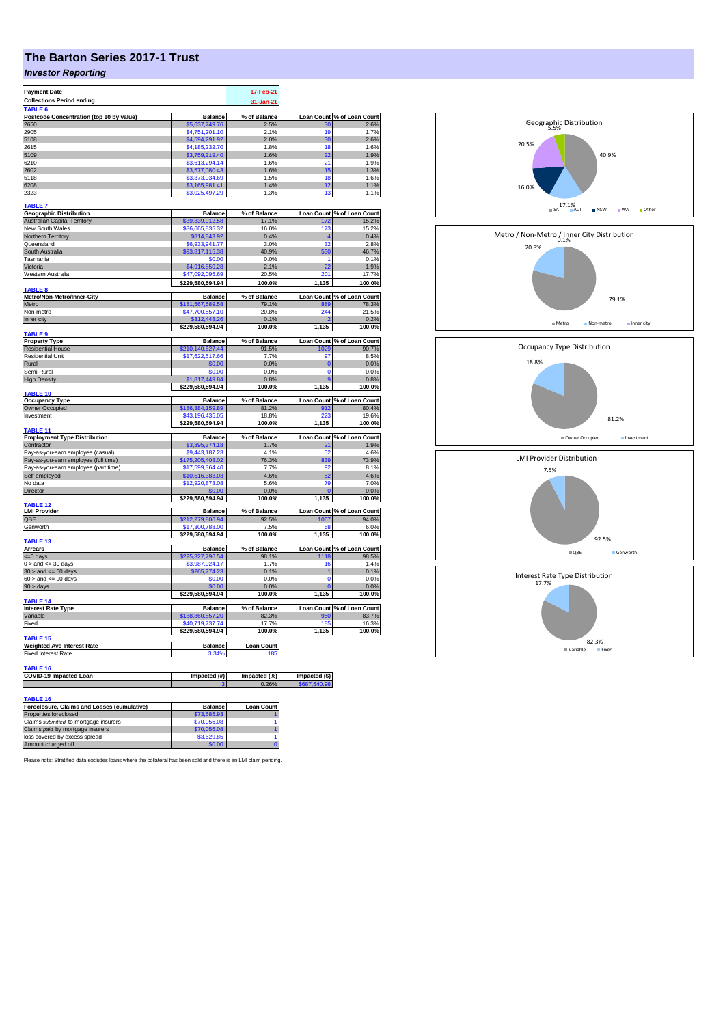# **The Barton Series 2017-1 Trust**

### *Investor Reporting*

| <b>Payment Date</b>                                                  |                        | 17-Feb-21         |                   |                                                                                                                                                                                                                                                                                                     |
|----------------------------------------------------------------------|------------------------|-------------------|-------------------|-----------------------------------------------------------------------------------------------------------------------------------------------------------------------------------------------------------------------------------------------------------------------------------------------------|
| <b>Collections Period ending</b>                                     |                        |                   |                   |                                                                                                                                                                                                                                                                                                     |
| TABLE <sup>(</sup>                                                   |                        | 31-Jan-21         |                   |                                                                                                                                                                                                                                                                                                     |
|                                                                      |                        |                   |                   |                                                                                                                                                                                                                                                                                                     |
| Postcode Concentration (top 10 by value)<br>2650                     | <b>Balance</b>         | % of Balance      |                   | Loan Count % of Loan Count<br>2.6%                                                                                                                                                                                                                                                                  |
| 2905                                                                 | \$5,637,749.76         | 2.5%              | 30<br>19          |                                                                                                                                                                                                                                                                                                     |
|                                                                      | \$4,751,201.10         | 2.1%              |                   | 1.7%                                                                                                                                                                                                                                                                                                |
| 5108                                                                 | \$4,594,291.92         | 2.0%              | 30                | 2.6%                                                                                                                                                                                                                                                                                                |
| 2615                                                                 | \$4,185,232.70         | 1.8%              | 18                | 1.6%                                                                                                                                                                                                                                                                                                |
| 5109                                                                 | \$3,759,219.40         | 1.6%              | 22                | 1.9%                                                                                                                                                                                                                                                                                                |
| 6210                                                                 | \$3,613,294.14         | 1.6%              | 21                | 1.9%                                                                                                                                                                                                                                                                                                |
| 2602                                                                 | \$3,577,080.43         | 1.6%              | 15                | 1.3%                                                                                                                                                                                                                                                                                                |
| 5118                                                                 | \$3,373,034.69         | 1.5%              | 18                | 1.6%                                                                                                                                                                                                                                                                                                |
| 6208                                                                 | \$3,165,981.41         | 1.4%              | 12                | 1.1%                                                                                                                                                                                                                                                                                                |
| 2323                                                                 | \$3,025,497.29         | 1.3%              | 13                | 1.1%                                                                                                                                                                                                                                                                                                |
|                                                                      |                        |                   |                   |                                                                                                                                                                                                                                                                                                     |
| <b>TABLE 7</b>                                                       |                        |                   |                   |                                                                                                                                                                                                                                                                                                     |
| <b>Geographic Distribution</b>                                       | <b>Balance</b>         | % of Balance      |                   | Loan Count % of Loan Count                                                                                                                                                                                                                                                                          |
| <b>Australian Capital Territory</b>                                  | \$39,339,912.58        | 17.1%             | 172               | 15.2%                                                                                                                                                                                                                                                                                               |
| New South Wales                                                      | \$36,665,835.32        | 16.0%             | 173               | 15.2%                                                                                                                                                                                                                                                                                               |
|                                                                      |                        |                   |                   |                                                                                                                                                                                                                                                                                                     |
| Northern Territory                                                   | \$814,843.92           | 0.4%              |                   | 0.4%                                                                                                                                                                                                                                                                                                |
| Queensland                                                           | \$6,933,941.77         | 3.0%              | 32                | 2.8%                                                                                                                                                                                                                                                                                                |
| South Australia                                                      | \$93,817,115.38        | 40.9%             | 530               | 46.7%                                                                                                                                                                                                                                                                                               |
| Tasmania                                                             | \$0.00                 | 0.0%              | 1                 | 0.1%                                                                                                                                                                                                                                                                                                |
| Victoria                                                             | \$4,916,850.28         | 2.1%              | 22                | 1.9%                                                                                                                                                                                                                                                                                                |
| Western Australia                                                    | \$47,092,095.69        | 20.5%             | 201               | 17.7%                                                                                                                                                                                                                                                                                               |
|                                                                      | \$229,580,594.94       | 100.0%            | 1,135             | 100.0%                                                                                                                                                                                                                                                                                              |
| TABLE <sub>8</sub>                                                   |                        |                   |                   |                                                                                                                                                                                                                                                                                                     |
| Metro/Non-Metro/Inner-City                                           | <b>Balance</b>         | % of Balance      |                   | Loan Count % of Loan Count                                                                                                                                                                                                                                                                          |
| Metro                                                                | \$181,567,589.58       | 79.1%             | 889               | 78.3%                                                                                                                                                                                                                                                                                               |
| Non-metro                                                            | \$47,700,557.10        | 20.8%             | 244               | 21.5%                                                                                                                                                                                                                                                                                               |
|                                                                      |                        |                   |                   |                                                                                                                                                                                                                                                                                                     |
| Inner city                                                           | \$312,448.26           | 0.1%              |                   | 0.2%                                                                                                                                                                                                                                                                                                |
|                                                                      | \$229,580,594.94       | 100.0%            | 1,135             | 100.0%                                                                                                                                                                                                                                                                                              |
| <b>TABLE 9</b>                                                       |                        |                   |                   |                                                                                                                                                                                                                                                                                                     |
| <b>Property Type</b>                                                 | <b>Balance</b>         | % of Balance      |                   | Loan Count % of Loan Count                                                                                                                                                                                                                                                                          |
| <b>Residential House</b>                                             | \$210,140,627.44       | 91.5%             | 1029              | 90.7%                                                                                                                                                                                                                                                                                               |
| <b>Residential Unit</b>                                              | \$17,622,517.66        | 7.7%              | 97                | 8.5%                                                                                                                                                                                                                                                                                                |
| Rural                                                                | \$0.00                 | 0.0%              | $\overline{0}$    | 0.0%                                                                                                                                                                                                                                                                                                |
| Semi-Rural                                                           | \$0.00                 | 0.0%              | $\Omega$          | 0.0%                                                                                                                                                                                                                                                                                                |
| <b>High Density</b>                                                  | \$1,817,449.84         | 0.8%              | g                 | 0.8%                                                                                                                                                                                                                                                                                                |
|                                                                      | \$229,580,594.94       | 100.0%            | 1,135             | 100.0%                                                                                                                                                                                                                                                                                              |
| TABLE 10                                                             |                        |                   |                   |                                                                                                                                                                                                                                                                                                     |
| <b>Occupancy Type</b>                                                | <b>Balance</b>         | % of Balance      |                   | Loan Count % of Loan Count                                                                                                                                                                                                                                                                          |
|                                                                      |                        |                   |                   | 80.4%                                                                                                                                                                                                                                                                                               |
|                                                                      |                        |                   |                   |                                                                                                                                                                                                                                                                                                     |
| Owner Occupied                                                       | \$186,384,159.89       | 81.2%             | 912               |                                                                                                                                                                                                                                                                                                     |
| Investment                                                           | \$43,196,435.05        | 18.8%             | 223               |                                                                                                                                                                                                                                                                                                     |
|                                                                      | \$229,580,594.94       | 100.0%            | 1,135             |                                                                                                                                                                                                                                                                                                     |
| TABLE 11                                                             |                        |                   |                   |                                                                                                                                                                                                                                                                                                     |
| <b>Employment Type Distribution</b>                                  | <b>Balance</b>         | % of Balance      | <b>Loan Count</b> |                                                                                                                                                                                                                                                                                                     |
| Contractor                                                           | \$3,895,374.18         | 1.7%              | 21                |                                                                                                                                                                                                                                                                                                     |
| Pay-as-you-earn employee (casual)                                    | \$9,443,187.23         | 4.1%              | 52                |                                                                                                                                                                                                                                                                                                     |
| Pay-as-you-earn employee (full time)                                 | \$175,205,408.02       | 76.3%             | 839               |                                                                                                                                                                                                                                                                                                     |
| Pay-as-you-earn employee (part time)                                 | \$17,599,364.40        | 7.7%              | 92                |                                                                                                                                                                                                                                                                                                     |
|                                                                      |                        | 4.6%              | 52                |                                                                                                                                                                                                                                                                                                     |
| Self employed                                                        | \$10,516,383.03        |                   |                   |                                                                                                                                                                                                                                                                                                     |
| No data                                                              | \$12,920,878.08        | 5.6%              | 79                |                                                                                                                                                                                                                                                                                                     |
| Director                                                             | \$0.00                 | 0.0%              |                   |                                                                                                                                                                                                                                                                                                     |
|                                                                      | \$229,580,594.94       | 100.0%            | 1,135             |                                                                                                                                                                                                                                                                                                     |
| <b>TABLE 12</b>                                                      |                        |                   |                   |                                                                                                                                                                                                                                                                                                     |
| <b>LMI Provider</b>                                                  | <b>Balance</b>         | % of Balance      |                   |                                                                                                                                                                                                                                                                                                     |
| OBE                                                                  | \$212,279,806.94       | 92.5%             | 1067              |                                                                                                                                                                                                                                                                                                     |
| Genworth                                                             | \$17,300,788.00        | 7.5%              | 68                |                                                                                                                                                                                                                                                                                                     |
|                                                                      | \$229,580,594.94       | 100.0%            | 1,135             |                                                                                                                                                                                                                                                                                                     |
| <b>TABLE 13</b>                                                      |                        |                   |                   |                                                                                                                                                                                                                                                                                                     |
| Arrears                                                              | <b>Balance</b>         | % of Balance      |                   |                                                                                                                                                                                                                                                                                                     |
| <= 0 days                                                            | 225,327,796.54         | 98.1%             |                   |                                                                                                                                                                                                                                                                                                     |
| $0 >$ and $\leq 30$ days                                             | \$3,987,024.17         | 1.7%              | 16                |                                                                                                                                                                                                                                                                                                     |
| $30 >$ and $\leq 60$ days                                            | \$265,774.23           | 0.1%              | 1                 |                                                                                                                                                                                                                                                                                                     |
| $60 >$ and $\lt = 90$ days                                           | \$0.00                 | 0.0%              | $\mathbf 0$       |                                                                                                                                                                                                                                                                                                     |
| $90 >$ days                                                          | \$0.00                 | 0.0%              | C                 |                                                                                                                                                                                                                                                                                                     |
|                                                                      | \$229,580,594.94       |                   | 1,135             |                                                                                                                                                                                                                                                                                                     |
| <b>TABLE 14</b>                                                      |                        | 100.0%            |                   |                                                                                                                                                                                                                                                                                                     |
|                                                                      | <b>Balance</b>         | % of Balance      | <b>Loan Count</b> |                                                                                                                                                                                                                                                                                                     |
| <b>Interest Rate Type</b><br>Variable                                |                        |                   | 950               |                                                                                                                                                                                                                                                                                                     |
|                                                                      | \$188,860,857.20       | 82.3%             |                   |                                                                                                                                                                                                                                                                                                     |
| Fixed                                                                | \$40.719.737.74        | 17.7%             | 18 <sup>t</sup>   |                                                                                                                                                                                                                                                                                                     |
|                                                                      | \$229,580,594.94       | 100.0%            | 1,135             |                                                                                                                                                                                                                                                                                                     |
| TABLE <sub>15</sub>                                                  |                        |                   |                   |                                                                                                                                                                                                                                                                                                     |
| <b>Weighted Ave Interest Rate</b>                                    | <b>Balance</b>         | <b>Loan Count</b> |                   |                                                                                                                                                                                                                                                                                                     |
| <b>Fixed Interest Rate</b>                                           | 3.34%                  | 185               |                   |                                                                                                                                                                                                                                                                                                     |
|                                                                      |                        |                   |                   |                                                                                                                                                                                                                                                                                                     |
| <b>TABLE 16</b>                                                      |                        |                   |                   |                                                                                                                                                                                                                                                                                                     |
| COVID-19 Impacted Loan                                               | Impacted (#)           | Impacted (%)      | Impacted (\$)     |                                                                                                                                                                                                                                                                                                     |
|                                                                      |                        | 0.26%             | 687.540           |                                                                                                                                                                                                                                                                                                     |
|                                                                      |                        |                   |                   |                                                                                                                                                                                                                                                                                                     |
|                                                                      |                        |                   |                   |                                                                                                                                                                                                                                                                                                     |
| <b>TABLE 16</b>                                                      |                        |                   |                   | 19.6%<br>100.0%<br>% of Loan Count<br>1.9%<br>4.6%<br>73.9%<br>8.1%<br>4.6%<br>7.0%<br>0.0%<br>100.0%<br>Loan Count % of Loan Count<br>94.0%<br>6.0%<br>100.0%<br>Loan Count % of Loan Count<br>1118 98.5%<br>1.4%<br>0.1%<br>0.0%<br>0.0%<br>100.0%<br>% of Loan Count<br>83.7%<br>16.3%<br>100.0% |
| Foreclosure, Claims and Losses (cumulative)<br>Properties foreclosed | Balance<br>\$73,685.93 | <b>Loan Count</b> |                   |                                                                                                                                                                                                                                                                                                     |



Please note: Stratified data excludes loans where the collateral has been sold and there is an LMI claim pending.